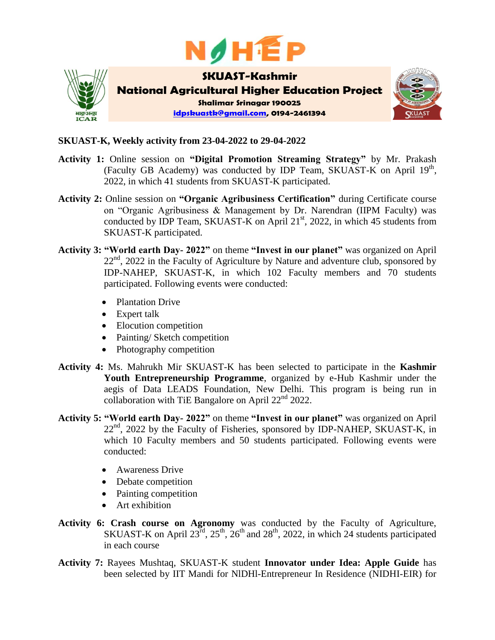



## **SKUAST-K, Weekly activity from 23-04-2022 to 29-04-2022**

- **Activity 1:** Online session on **"Digital Promotion Streaming Strategy"** by Mr. Prakash (Faculty GB Academy) was conducted by IDP Team, SKUAST-K on April 19<sup>th</sup>, 2022, in which 41 students from SKUAST-K participated.
- **Activity 2:** Online session on **"Organic Agribusiness Certification"** during Certificate course on "Organic Agribusiness & Management by Dr. Narendran (IIPM Faculty) was conducted by IDP Team, SKUAST-K on April  $21<sup>st</sup>$ , 2022, in which 45 students from SKUAST-K participated.
- **Activity 3: "World earth Day- 2022"** on theme **"Invest in our planet"** was organized on April  $22<sup>nd</sup>$ , 2022 in the Faculty of Agriculture by Nature and adventure club, sponsored by IDP-NAHEP, SKUAST-K, in which 102 Faculty members and 70 students participated. Following events were conducted:
	- Plantation Drive
	- Expert talk
	- Elocution competition
	- Painting/ Sketch competition
	- Photography competition
- **Activity 4:** Ms. Mahrukh Mir SKUAST-K has been selected to participate in the **Kashmir Youth Entrepreneurship Programme**, organized by e-Hub Kashmir under the aegis of Data LEADS Foundation, New Delhi. This program is being run in collaboration with TiE Bangalore on April  $22<sup>nd</sup>$  2022.
- **Activity 5: "World earth Day- 2022"** on theme **"Invest in our planet"** was organized on April  $22<sup>nd</sup>$ , 2022 by the Faculty of Fisheries, sponsored by IDP-NAHEP, SKUAST-K, in which 10 Faculty members and 50 students participated. Following events were conducted:
	- Awareness Drive
	- Debate competition
	- Painting competition
	- Art exhibition
- **Activity 6: Crash course on Agronomy** was conducted by the Faculty of Agriculture, SKUAST-K on April  $23^{\text{rd}}$ ,  $25^{\text{th}}$ ,  $26^{\text{th}}$  and  $28^{\text{th}}$ , 2022, in which 24 students participated in each course
- **Activity 7:** Rayees Mushtaq, SKUAST-K student **Innovator under Idea: Apple Guide** has been selected by IIT Mandi for NlDHl-Entrepreneur In Residence (NIDHI-EIR) for